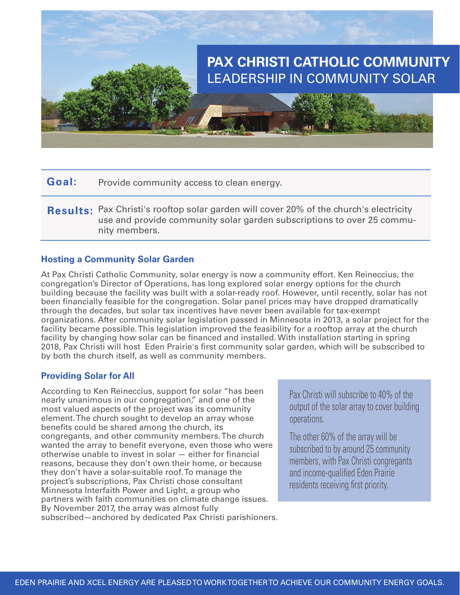

**Goal:** Provide community access to clean energy.

Results: Pax Christi's rooftop solar garden will cover 20% of the church's electricity use and provide community solar garden subscriptions to over 25 community members.

## **Hosting a Community Solar Garden**

At Pax Christi Catholic Community, solar energy is now a community effort. Ken Reineccius, the congregation's Director of Operations, has long explored solar energy options for the church building because the facility was built with a solar-ready roof. However, until recently, solar has not been financially feasible for the congregation. Solar panel prices may have dropped dramatically through the decades, but solar tax incentives have never been available for tax-exempt organizations. After community solar legislation passed in Minnesota in 2013, a solar project for the facility became possible. This legislation improved the feasibility for a rooftop array at the church facility by changing how solar can be financed and installed. With installation starting in spring 2018, Pax Christi will host Eden Prairie's first community solar garden, which will be subscribed to by both the church itself, as well as community members.

## **Providing Solar for All**

According to Ken Reineccius, support for solar "has been nearly unanimous in our congregation," and one of the most valued aspects of the project was its community element. The church sought to develop an array whose benefits could be shared among the church, its congregants, and other community members. The church wanted the array to benefit everyone, even those who were otherwise unable to invest in solar — either for financial reasons, because they don't own their home, or because they don't have a solar-suitable roof. To manage the project's subscriptions, Pax Christi chose consultant Minnesota Interfaith Power and Light, a group who partners with faith communities on climate change issues. By November 2017, the array was almost fully subscribed—anchored by dedicated Pax Christi parishioners.

Pax Christi will subscribe to 40% of the output of the solar array to cover building operations.

The other 60% of the array will be subscribed to by around 25 community members, with Pax Christi congregants and income-qualified Eden Prairie residents receiving first priority.